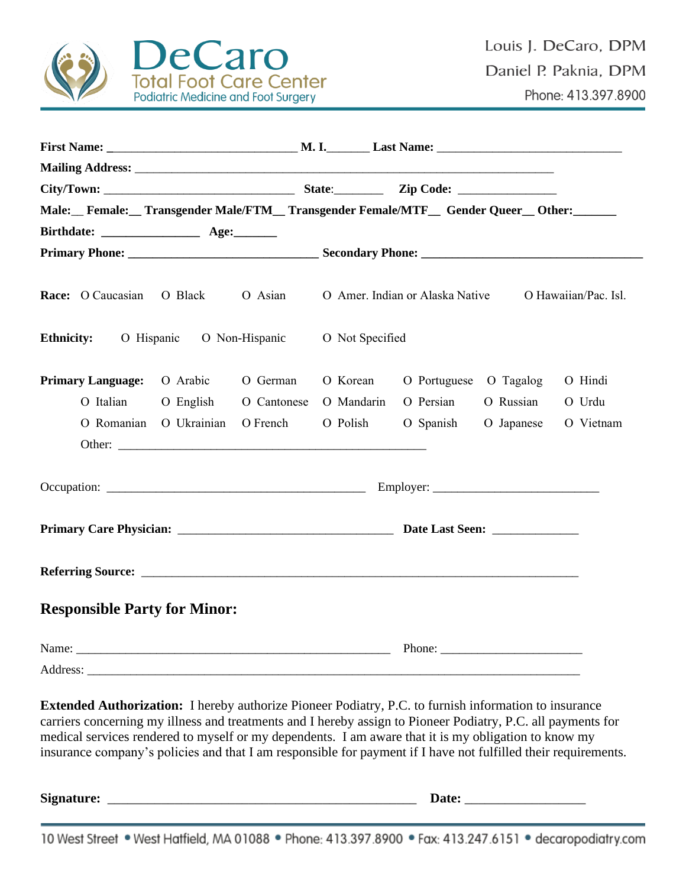

| Male: Female: Transgender Male/FTM Transgender Female/MTF Gender Queer Other: |                                 |                       |                 |                                 |           |                      |
|-------------------------------------------------------------------------------|---------------------------------|-----------------------|-----------------|---------------------------------|-----------|----------------------|
|                                                                               |                                 |                       |                 |                                 |           |                      |
|                                                                               |                                 |                       |                 |                                 |           |                      |
| Race: O Caucasian                                                             | O Black                         | O Asian               |                 | O Amer. Indian or Alaska Native |           | O Hawaiian/Pac. Isl. |
| <b>Ethnicity:</b>                                                             | O Hispanic O Non-Hispanic       |                       | O Not Specified |                                 |           |                      |
| <b>Primary Language:</b> O Arabic                                             |                                 | O German              | O Korean        | O Portuguese O Tagalog          |           | O Hindi              |
| O Italian                                                                     |                                 | O English O Cantonese | O Mandarin      | O Persian                       | O Russian | O Urdu               |
|                                                                               | O Romanian O Ukrainian O French |                       | O Polish        | O Spanish O Japanese            |           | O Vietnam            |
|                                                                               |                                 |                       |                 |                                 |           |                      |
|                                                                               |                                 |                       |                 |                                 |           |                      |
|                                                                               |                                 |                       |                 |                                 |           |                      |
|                                                                               |                                 |                       |                 |                                 |           |                      |
| <b>Responsible Party for Minor:</b>                                           |                                 |                       |                 |                                 |           |                      |
|                                                                               |                                 |                       |                 |                                 |           |                      |
| Address:                                                                      |                                 |                       |                 |                                 |           |                      |

**Extended Authorization:** I hereby authorize Pioneer Podiatry, P.C. to furnish information to insurance carriers concerning my illness and treatments and I hereby assign to Pioneer Podiatry, P.C. all payments for medical services rendered to myself or my dependents. I am aware that it is my obligation to know my insurance company's policies and that I am responsible for payment if I have not fulfilled their requirements.

**Signature:** \_\_\_\_\_\_\_\_\_\_\_\_\_\_\_\_\_\_\_\_\_\_\_\_\_\_\_\_\_\_\_\_\_\_\_\_\_\_\_\_\_\_\_\_\_\_ **Date:** \_\_\_\_\_\_\_\_\_\_\_\_\_\_\_\_\_\_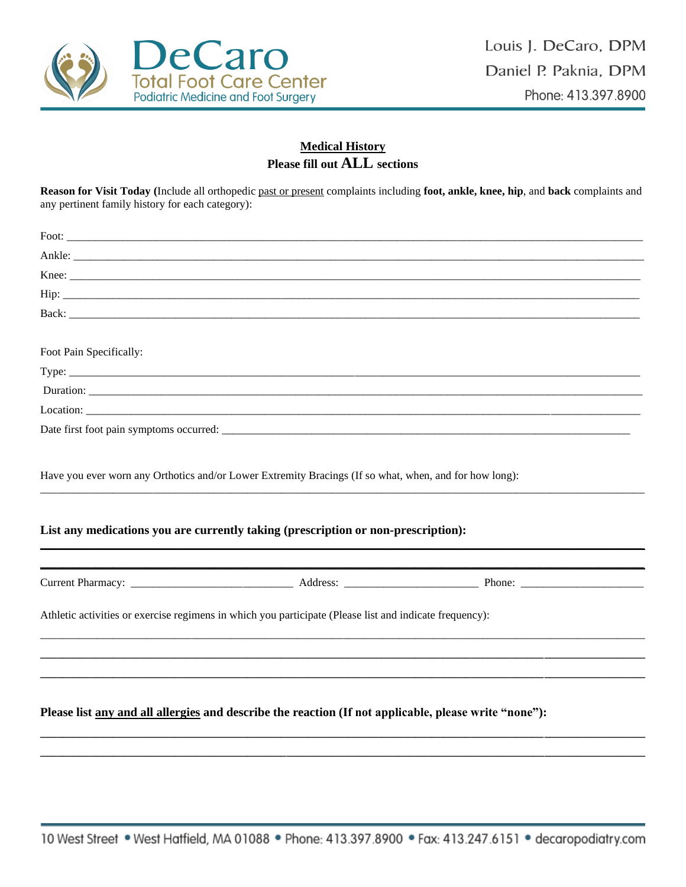

## **Medical History** Please fill out ALL sections

Reason for Visit Today (Include all orthopedic past or present complaints including foot, ankle, knee, hip, and back complaints and any pertinent family history for each category):

| Foot Pain Specifically: |                                                                                                                                                                                             |  |
|-------------------------|---------------------------------------------------------------------------------------------------------------------------------------------------------------------------------------------|--|
|                         |                                                                                                                                                                                             |  |
|                         |                                                                                                                                                                                             |  |
|                         |                                                                                                                                                                                             |  |
|                         |                                                                                                                                                                                             |  |
|                         | Have you ever worn any Orthotics and/or Lower Extremity Bracings (If so what, when, and for how long):<br>List any medications you are currently taking (prescription or non-prescription): |  |
|                         |                                                                                                                                                                                             |  |
|                         | Athletic activities or exercise regimens in which you participate (Please list and indicate frequency):                                                                                     |  |
|                         |                                                                                                                                                                                             |  |
|                         | Please list any and all allergies and describe the reaction (If not applicable, please write "none"):                                                                                       |  |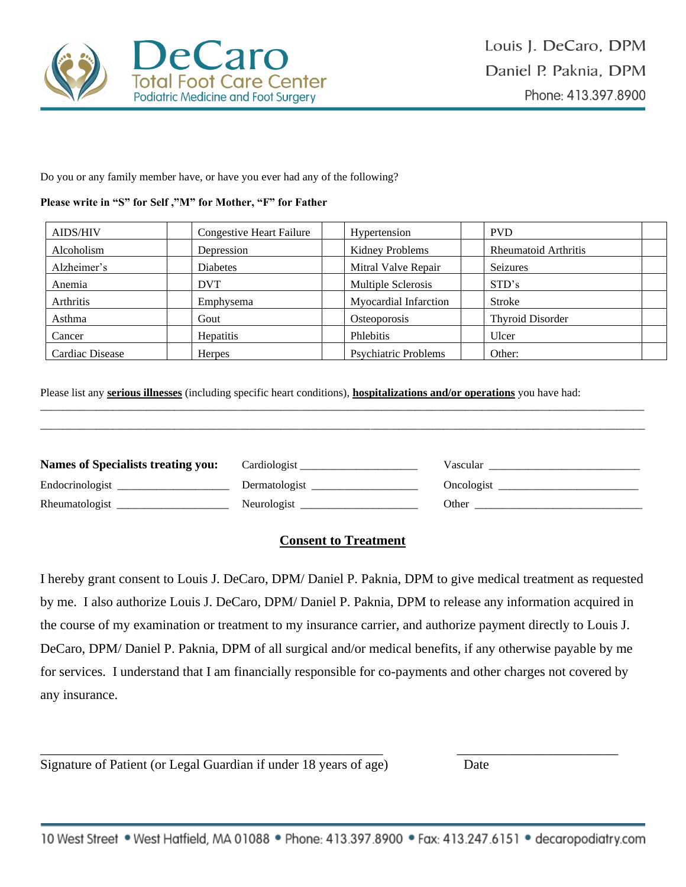

Do you or any family member have, or have you ever had any of the following?

#### **Please write in "S" for Self ,"M" for Mother, "F" for Father**

| <b>AIDS/HIV</b>  | <b>Congestive Heart Failure</b> | Hypertension                | <b>PVD</b>                  |  |
|------------------|---------------------------------|-----------------------------|-----------------------------|--|
| Alcoholism       | Depression                      | Kidney Problems             | <b>Rheumatoid Arthritis</b> |  |
| Alzheimer's      | <b>Diabetes</b>                 | Mitral Valve Repair         | Seizures                    |  |
| Anemia           | <b>DVT</b>                      | Multiple Sclerosis          | STD's                       |  |
| <b>Arthritis</b> | Emphysema                       | Myocardial Infarction       | Stroke                      |  |
| Asthma           | Gout                            | Osteoporosis                | <b>Thyroid Disorder</b>     |  |
| Cancer           | <b>Hepatitis</b>                | Phlebitis                   | Ulcer                       |  |
| Cardiac Disease  | <b>Herpes</b>                   | <b>Psychiatric Problems</b> | Other:                      |  |

Please list any **serious illnesses** (including specific heart conditions), **hospitalizations and/or operations** you have had:

| <b>Names of Specialists treating you:</b> | Cardiologist  | Vascular and the Vascular                                                                                                                                                                                                      |
|-------------------------------------------|---------------|--------------------------------------------------------------------------------------------------------------------------------------------------------------------------------------------------------------------------------|
| Endocrinologist                           | Dermatologist | Oncologist                                                                                                                                                                                                                     |
| Rheumatologist                            | Neurologist   | Other the contract of the contract of the contract of the contract of the contract of the contract of the contract of the contract of the contract of the contract of the contract of the contract of the contract of the cont |

\_\_\_\_\_\_\_\_\_\_\_\_\_\_\_\_\_\_\_\_\_\_\_\_\_\_\_\_\_\_\_\_\_\_\_\_\_\_\_\_\_\_\_\_\_\_\_\_\_\_\_\_\_\_\_\_\_\_\_\_\_\_\_\_\_\_\_\_\_\_\_\_\_\_\_\_\_\_\_\_\_\_\_\_\_\_\_\_\_\_\_\_\_\_\_\_\_\_\_\_\_\_\_\_\_\_\_\_

# **Consent to Treatment**

I hereby grant consent to Louis J. DeCaro, DPM/ Daniel P. Paknia, DPM to give medical treatment as requested by me. I also authorize Louis J. DeCaro, DPM/ Daniel P. Paknia, DPM to release any information acquired in the course of my examination or treatment to my insurance carrier, and authorize payment directly to Louis J. DeCaro, DPM/ Daniel P. Paknia, DPM of all surgical and/or medical benefits, if any otherwise payable by me for services. I understand that I am financially responsible for co-payments and other charges not covered by any insurance.

Signature of Patient (or Legal Guardian if under 18 years of age) Date

\_\_\_\_\_\_\_\_\_\_\_\_\_\_\_\_\_\_\_\_\_\_\_\_\_\_\_\_\_\_\_\_\_\_\_\_\_\_\_\_\_\_\_\_\_\_\_\_\_\_\_ \_\_\_\_\_\_\_\_\_\_\_\_\_\_\_\_\_\_\_\_\_\_\_\_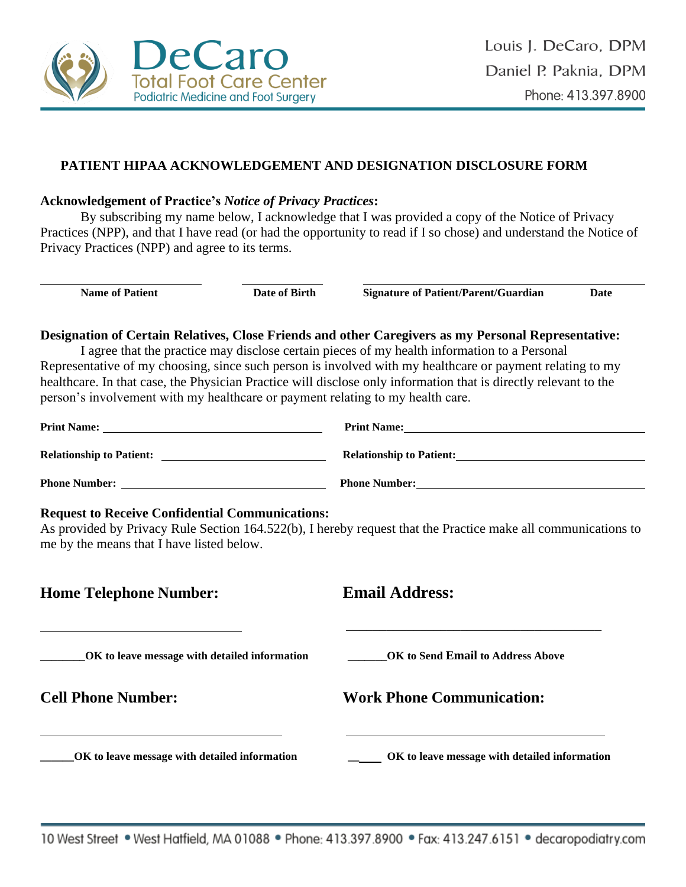

## **PATIENT HIPAA ACKNOWLEDGEMENT AND DESIGNATION DISCLOSURE FORM**

#### **Acknowledgement of Practice's** *Notice of Privacy Practices***:**

By subscribing my name below, I acknowledge that I was provided a copy of the Notice of Privacy Practices (NPP), and that I have read (or had the opportunity to read if I so chose) and understand the Notice of Privacy Practices (NPP) and agree to its terms.

**Name of Patient Date of Birth Signature of Patient/Parent/Guardian Date**

 $\overline{a}$ 

**Designation of Certain Relatives, Close Friends and other Caregivers as my Personal Representative:**

I agree that the practice may disclose certain pieces of my health information to a Personal Representative of my choosing, since such person is involved with my healthcare or payment relating to my healthcare. In that case, the Physician Practice will disclose only information that is directly relevant to the person's involvement with my healthcare or payment relating to my health care.

| <b>Print Name:</b>              | <b>Print Name:</b>              |
|---------------------------------|---------------------------------|
| <b>Relationship to Patient:</b> | <b>Relationship to Patient:</b> |
| <b>Phone Number:</b>            | <b>Phone Number:</b>            |

#### **Request to Receive Confidential Communications:**

As provided by Privacy Rule Section 164.522(b), I hereby request that the Practice make all communications to me by the means that I have listed below.

| <b>Home Telephone Number:</b>                 | <b>Email Address:</b>                         |
|-----------------------------------------------|-----------------------------------------------|
| OK to leave message with detailed information | OK to Send Email to Address Above             |
| <b>Cell Phone Number:</b>                     | <b>Work Phone Communication:</b>              |
| OK to leave message with detailed information | OK to leave message with detailed information |